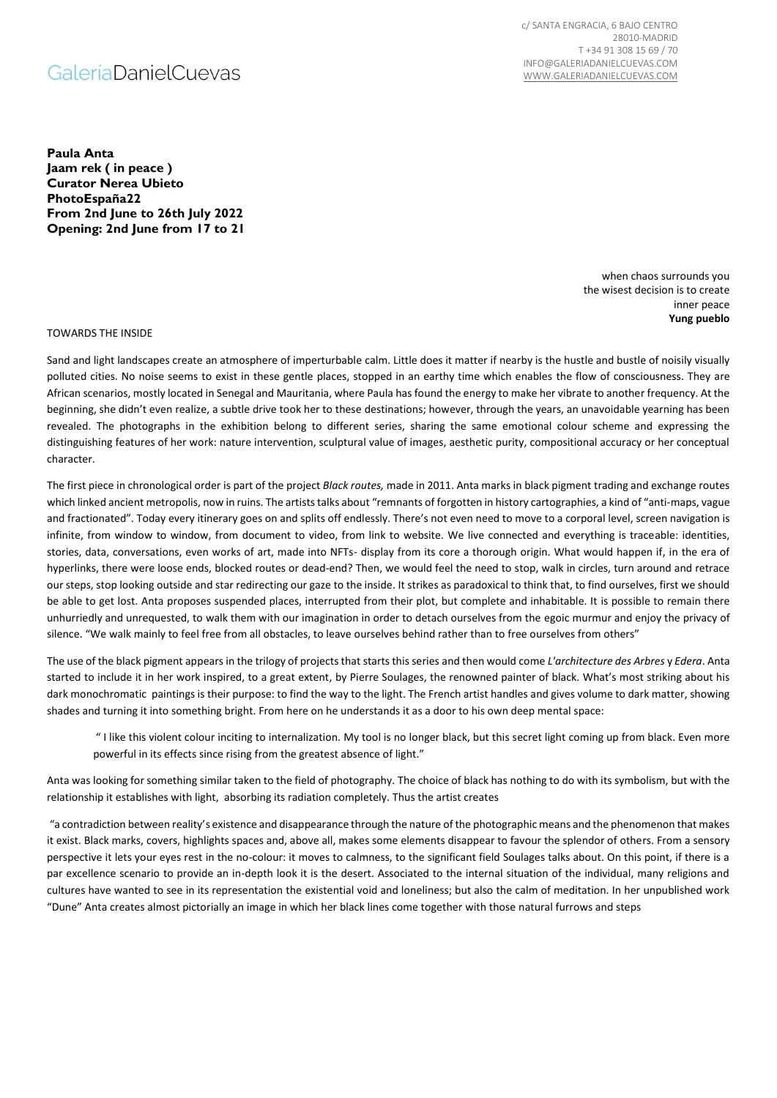## **GaleriaDanielCuevas**

c/ SANTA ENGRACIA, 6 BAJO CENTRO 28010-MADRID T +34 91 308 15 69 / 70 INFO@GALERIADANIELCUEVAS.COM [WWW.GALERIADANIELCUEVAS.COM](http://www.galeriadanielcuevas.com/)

**Paula Anta Jaam rek ( in peace ) Curator Nerea Ubieto PhotoEspaña22 From 2nd June to 26th July 2022 Opening: 2nd June from 17 to 21**

> when chaos surrounds you the wisest decision is to create inner peace **Yung pueblo**

TOWARDS THE INSIDE

Sand and light landscapes create an atmosphere of imperturbable calm. Little does it matter if nearby is the hustle and bustle of noisily visually polluted cities. No noise seems to exist in these gentle places, stopped in an earthy time which enables the flow of consciousness. They are African scenarios, mostly located in Senegal and Mauritania, where Paula has found the energy to make her vibrate to another frequency. At the beginning, she didn't even realize, a subtle drive took her to these destinations; however, through the years, an unavoidable yearning has been revealed. The photographs in the exhibition belong to different series, sharing the same emotional colour scheme and expressing the distinguishing features of her work: nature intervention, sculptural value of images, aesthetic purity, compositional accuracy or her conceptual character.

The first piece in chronological order is part of the project *Black routes,* made in 2011. Anta marks in black pigment trading and exchange routes which linked ancient metropolis, now in ruins. The artists talks about "remnants of forgotten in history cartographies, a kind of "anti-maps, vague and fractionated". Today every itinerary goes on and splits off endlessly. There's not even need to move to a corporal level, screen navigation is infinite, from window to window, from document to video, from link to website. We live connected and everything is traceable: identities, stories, data, conversations, even works of art, made into NFTs- display from its core a thorough origin. What would happen if, in the era of hyperlinks, there were loose ends, blocked routes or dead-end? Then, we would feel the need to stop, walk in circles, turn around and retrace our steps, stop looking outside and star redirecting our gaze to the inside. It strikes as paradoxical to think that, to find ourselves, first we should be able to get lost. Anta proposes suspended places, interrupted from their plot, but complete and inhabitable. It is possible to remain there unhurriedly and unrequested, to walk them with our imagination in order to detach ourselves from the egoic murmur and enjoy the privacy of silence. "We walk mainly to feel free from all obstacles, to leave ourselves behind rather than to free ourselves from others"

The use of the black pigment appears in the trilogy of projects that starts this series and then would come *L'architecture des Arbres* y *Edera*. Anta started to include it in her work inspired, to a great extent, by Pierre Soulages, the renowned painter of black. What's most striking about his dark monochromatic paintings is their purpose: to find the way to the light. The French artist handles and gives volume to dark matter, showing shades and turning it into something bright. From here on he understands it as a door to his own deep mental space:

" I like this violent colour inciting to internalization. My tool is no longer black, but this secret light coming up from black. Even more powerful in its effects since rising from the greatest absence of light."

Anta was looking for something similar taken to the field of photography. The choice of black has nothing to do with its symbolism, but with the relationship it establishes with light, absorbing its radiation completely. Thus the artist creates

"a contradiction between reality's existence and disappearance through the nature of the photographic means and the phenomenon that makes it exist. Black marks, covers, highlights spaces and, above all, makes some elements disappear to favour the splendor of others. From a sensory perspective it lets your eyes rest in the no-colour: it moves to calmness, to the significant field Soulages talks about. On this point, if there is a par excellence scenario to provide an in-depth look it is the desert. Associated to the internal situation of the individual, many religions and cultures have wanted to see in its representation the existential void and loneliness; but also the calm of meditation. In her unpublished work "Dune" Anta creates almost pictorially an image in which her black lines come together with those natural furrows and steps